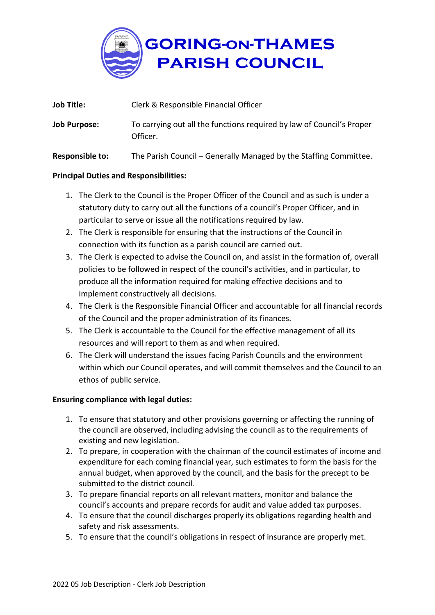

| <b>Job Title:</b>   | Clerk & Responsible Financial Officer                                             |
|---------------------|-----------------------------------------------------------------------------------|
| <b>Job Purpose:</b> | To carrying out all the functions required by law of Council's Proper<br>Officer. |

**Responsible to:** The Parish Council – Generally Managed by the Staffing Committee.

## **Principal Duties and Responsibilities:**

- 1. The Clerk to the Council is the Proper Officer of the Council and as such is under a statutory duty to carry out all the functions of a council's Proper Officer, and in particular to serve or issue all the notifications required by law.
- 2. The Clerk is responsible for ensuring that the instructions of the Council in connection with its function as a parish council are carried out.
- 3. The Clerk is expected to advise the Council on, and assist in the formation of, overall policies to be followed in respect of the council's activities, and in particular, to produce all the information required for making effective decisions and to implement constructively all decisions.
- 4. The Clerk is the Responsible Financial Officer and accountable for all financial records of the Council and the proper administration of its finances.
- 5. The Clerk is accountable to the Council for the effective management of all its resources and will report to them as and when required.
- 6. The Clerk will understand the issues facing Parish Councils and the environment within which our Council operates, and will commit themselves and the Council to an ethos of public service.

## **Ensuring compliance with legal duties:**

- 1. To ensure that statutory and other provisions governing or affecting the running of the council are observed, including advising the council as to the requirements of existing and new legislation.
- 2. To prepare, in cooperation with the chairman of the council estimates of income and expenditure for each coming financial year, such estimates to form the basis for the annual budget, when approved by the council, and the basis for the precept to be submitted to the district council.
- 3. To prepare financial reports on all relevant matters, monitor and balance the council's accounts and prepare records for audit and value added tax purposes.
- 4. To ensure that the council discharges properly its obligations regarding health and safety and risk assessments.
- 5. To ensure that the council's obligations in respect of insurance are properly met.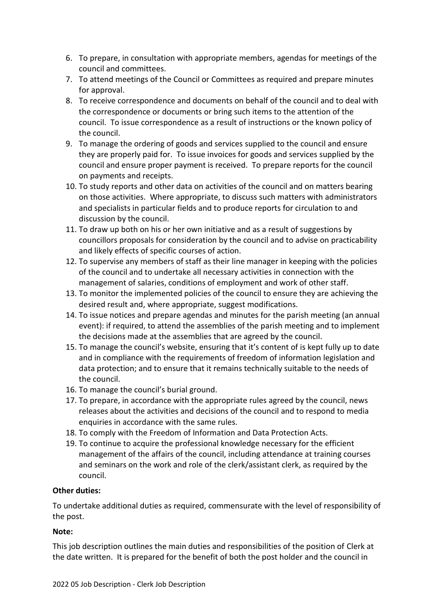- 6. To prepare, in consultation with appropriate members, agendas for meetings of the council and committees.
- 7. To attend meetings of the Council or Committees as required and prepare minutes for approval.
- 8. To receive correspondence and documents on behalf of the council and to deal with the correspondence or documents or bring such items to the attention of the council. To issue correspondence as a result of instructions or the known policy of the council.
- 9. To manage the ordering of goods and services supplied to the council and ensure they are properly paid for. To issue invoices for goods and services supplied by the council and ensure proper payment is received. To prepare reports for the council on payments and receipts.
- 10. To study reports and other data on activities of the council and on matters bearing on those activities. Where appropriate, to discuss such matters with administrators and specialists in particular fields and to produce reports for circulation to and discussion by the council.
- 11. To draw up both on his or her own initiative and as a result of suggestions by councillors proposals for consideration by the council and to advise on practicability and likely effects of specific courses of action.
- 12. To supervise any members of staff as their line manager in keeping with the policies of the council and to undertake all necessary activities in connection with the management of salaries, conditions of employment and work of other staff.
- 13. To monitor the implemented policies of the council to ensure they are achieving the desired result and, where appropriate, suggest modifications.
- 14. To issue notices and prepare agendas and minutes for the parish meeting (an annual event): if required, to attend the assemblies of the parish meeting and to implement the decisions made at the assemblies that are agreed by the council.
- 15. To manage the council's website, ensuring that it's content of is kept fully up to date and in compliance with the requirements of freedom of information legislation and data protection; and to ensure that it remains technically suitable to the needs of the council.
- 16. To manage the council's burial ground.
- 17. To prepare, in accordance with the appropriate rules agreed by the council, news releases about the activities and decisions of the council and to respond to media enquiries in accordance with the same rules.
- 18. To comply with the Freedom of Information and Data Protection Acts.
- 19. To continue to acquire the professional knowledge necessary for the efficient management of the affairs of the council, including attendance at training courses and seminars on the work and role of the clerk/assistant clerk, as required by the council.

## **Other duties:**

To undertake additional duties as required, commensurate with the level of responsibility of the post.

## **Note:**

This job description outlines the main duties and responsibilities of the position of Clerk at the date written. It is prepared for the benefit of both the post holder and the council in